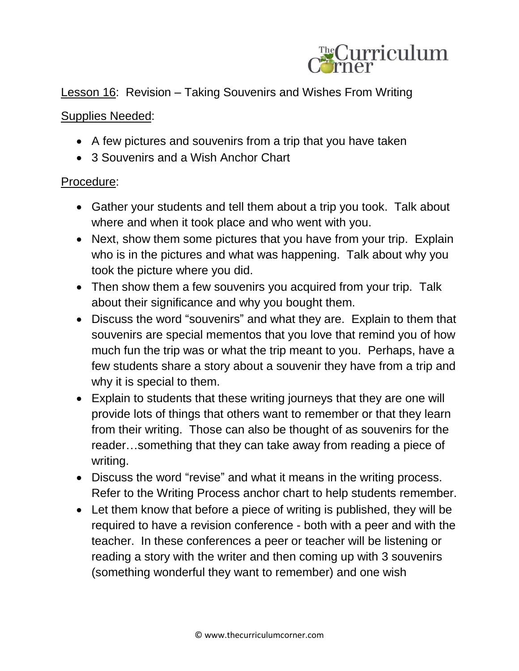

Lesson 16: Revision – Taking Souvenirs and Wishes From Writing

## Supplies Needed:

- A few pictures and souvenirs from a trip that you have taken
- 3 Souvenirs and a Wish Anchor Chart

## Procedure:

- Gather your students and tell them about a trip you took. Talk about where and when it took place and who went with you.
- Next, show them some pictures that you have from your trip. Explain who is in the pictures and what was happening. Talk about why you took the picture where you did.
- Then show them a few souvenirs you acquired from your trip. Talk about their significance and why you bought them.
- Discuss the word "souvenirs" and what they are. Explain to them that souvenirs are special mementos that you love that remind you of how much fun the trip was or what the trip meant to you. Perhaps, have a few students share a story about a souvenir they have from a trip and why it is special to them.
- Explain to students that these writing journeys that they are one will provide lots of things that others want to remember or that they learn from their writing. Those can also be thought of as souvenirs for the reader…something that they can take away from reading a piece of writing.
- Discuss the word "revise" and what it means in the writing process. Refer to the Writing Process anchor chart to help students remember.
- Let them know that before a piece of writing is published, they will be required to have a revision conference - both with a peer and with the teacher. In these conferences a peer or teacher will be listening or reading a story with the writer and then coming up with 3 souvenirs (something wonderful they want to remember) and one wish